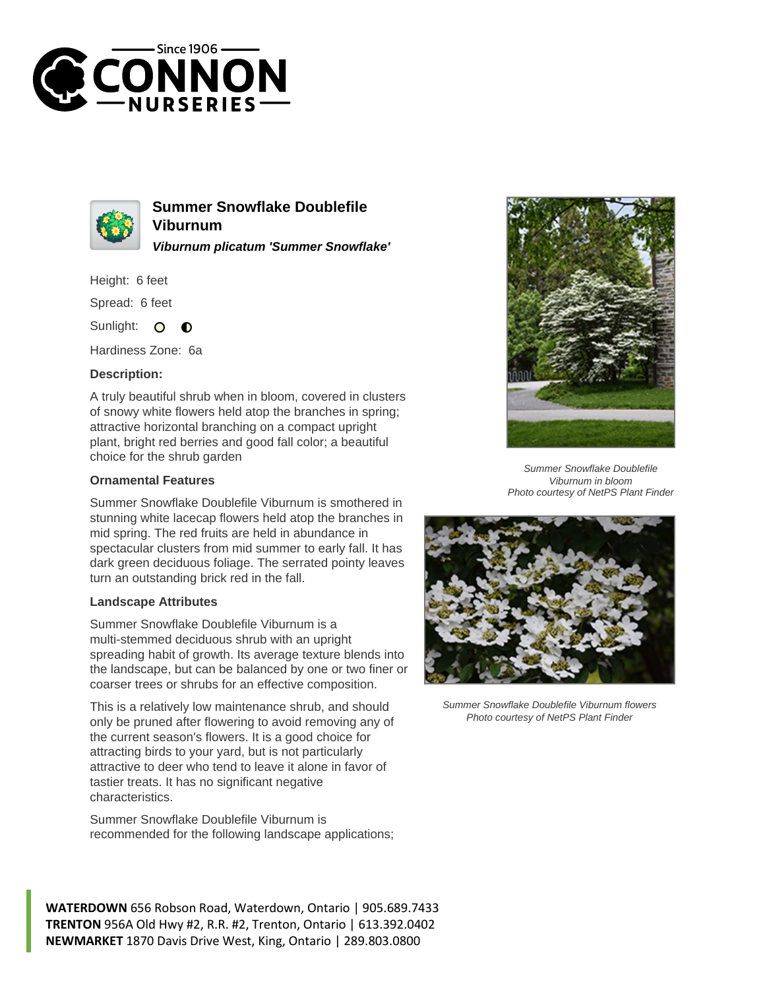



**Summer Snowflake Doublefile Viburnum Viburnum plicatum 'Summer Snowflake'**

Height: 6 feet

Spread: 6 feet

Sunlight:  $\bullet$  $\bullet$ 

Hardiness Zone: 6a

## **Description:**

A truly beautiful shrub when in bloom, covered in clusters of snowy white flowers held atop the branches in spring; attractive horizontal branching on a compact upright plant, bright red berries and good fall color; a beautiful choice for the shrub garden

## **Ornamental Features**

Summer Snowflake Doublefile Viburnum is smothered in stunning white lacecap flowers held atop the branches in mid spring. The red fruits are held in abundance in spectacular clusters from mid summer to early fall. It has dark green deciduous foliage. The serrated pointy leaves turn an outstanding brick red in the fall.

## **Landscape Attributes**

Summer Snowflake Doublefile Viburnum is a multi-stemmed deciduous shrub with an upright spreading habit of growth. Its average texture blends into the landscape, but can be balanced by one or two finer or coarser trees or shrubs for an effective composition.

This is a relatively low maintenance shrub, and should only be pruned after flowering to avoid removing any of the current season's flowers. It is a good choice for attracting birds to your yard, but is not particularly attractive to deer who tend to leave it alone in favor of tastier treats. It has no significant negative characteristics.

Summer Snowflake Doublefile Viburnum is recommended for the following landscape applications;



Summer Snowflake Doublefile Viburnum in bloom Photo courtesy of NetPS Plant Finder



Summer Snowflake Doublefile Viburnum flowers Photo courtesy of NetPS Plant Finder

**WATERDOWN** 656 Robson Road, Waterdown, Ontario | 905.689.7433 **TRENTON** 956A Old Hwy #2, R.R. #2, Trenton, Ontario | 613.392.0402 **NEWMARKET** 1870 Davis Drive West, King, Ontario | 289.803.0800